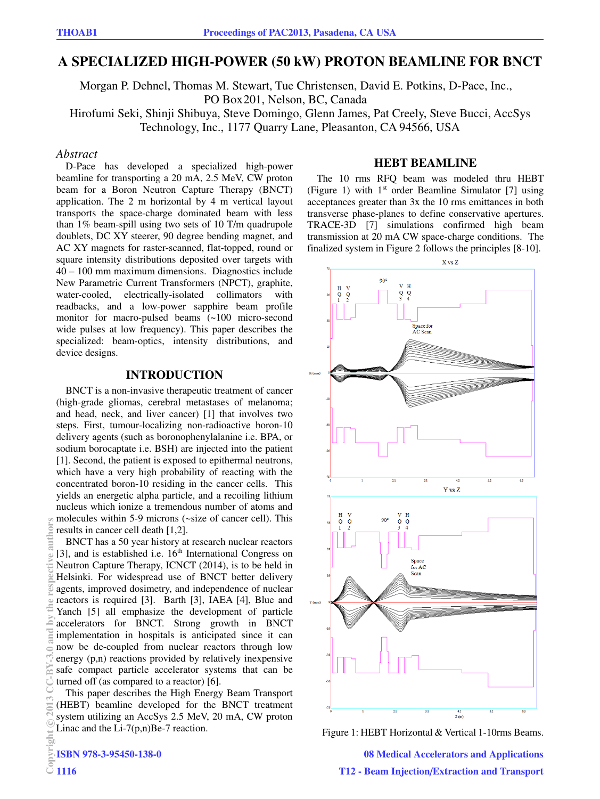# **A SPECIALIZED HIGH-POWER (50 kW) PROTON BEAMLINE FOR BNCT**

Morgan P. Dehnel, Thomas M. Stewart, Tue Christensen, David E. Potkins, D-Pace, Inc., PO Box 201, Nelson, BC, Canada Hirofumi Seki, Shinji Shibuya, Steve Domingo, Glenn James, Pat Creely, Steve Bucci, AccSys Technology, Inc., 1177 Quarry Lane, Pleasanton, CA 94566, USA

## *Abstract*

D-Pace has developed a specialized high-power beamline for transporting a 20 mA, 2.5 MeV, CW proton beam for a Boron Neutron Capture Therapy (BNCT) application. The 2 m horizontal by 4 m vertical layout transports the space-charge dominated beam with less than 1% beam-spill using two sets of 10 T/m quadrupole doublets, DC XY steerer, 90 degree bending magnet, and AC XY magnets for raster-scanned, flat-topped, round or square intensity distributions deposited over targets with 40 – 100 mm maximum dimensions. Diagnostics include New Parametric Current Transformers (NPCT), graphite, water-cooled, electrically-isolated collimators with readbacks, and a low-power sapphire beam profile monitor for macro-pulsed beams (~100 micro-second wide pulses at low frequency). This paper describes the specialized: beam-optics, intensity distributions, and device designs.

# **INTRODUCTION**

BNCT is a non-invasive therapeutic treatment of cancer (high-grade gliomas, cerebral metastases of melanoma; and head, neck, and liver cancer) [1] that involves two steps. First, tumour-localizing non-radioactive boron-10 delivery agents (such as boronophenylalanine i.e. BPA, or sodium borocaptate i.e. BSH) are injected into the patient [1]. Second, the patient is exposed to epithermal neutrons, which have a very high probability of reacting with the concentrated boron-10 residing in the cancer cells. This yields an energetic alpha particle, and a recoiling lithium nucleus which ionize a tremendous number of atoms and molecules within 5-9 microns (~size of cancer cell). This results in cancer cell death [1,2].

BNCT has a 50 year history at research nuclear reactors [3], and is established i.e. 16<sup>th</sup> International Congress on Neutron Capture Therapy, ICNCT (2014), is to be held in Helsinki. For widespread use of BNCT better delivery agents, improved dosimetry, and independence of nuclear reactors is required [3]. Barth [3], IAEA [4], Blue and Yanch [5] all emphasize the development of particle accelerators for BNCT. Strong growth in BNCT implementation in hospitals is anticipated since it can now be de-coupled from nuclear reactors through low energy (p,n) reactions provided by relatively inexpensive safe compact particle accelerator systems that can be turned off (as compared to a reactor) [6].

This paper describes the High Energy Beam Transport (HEBT) beamline developed for the BNCT treatment system utilizing an AccSys 2.5 MeV, 20 mA, CW proton Linac and the  $Li$ -7(p,n)Be-7 reaction.

## **HEBT BEAMLINE**

The 10 rms RFQ beam was modeled thru HEBT (Figure 1) with  $1<sup>st</sup>$  order Beamline Simulator [7] using acceptances greater than 3x the 10 rms emittances in both transverse phase-planes to define conservative apertures. TRACE-3D [7] simulations confirmed high beam transmission at 20 mA CW space-charge conditions. The finalized system in Figure 2 follows the principles [8-10].



Figure 1: HEBT Horizontal & Vertical 1-10rms Beams.

08 Medical Accelerators and Applications T12 - Beam Injection/Extraction and Transport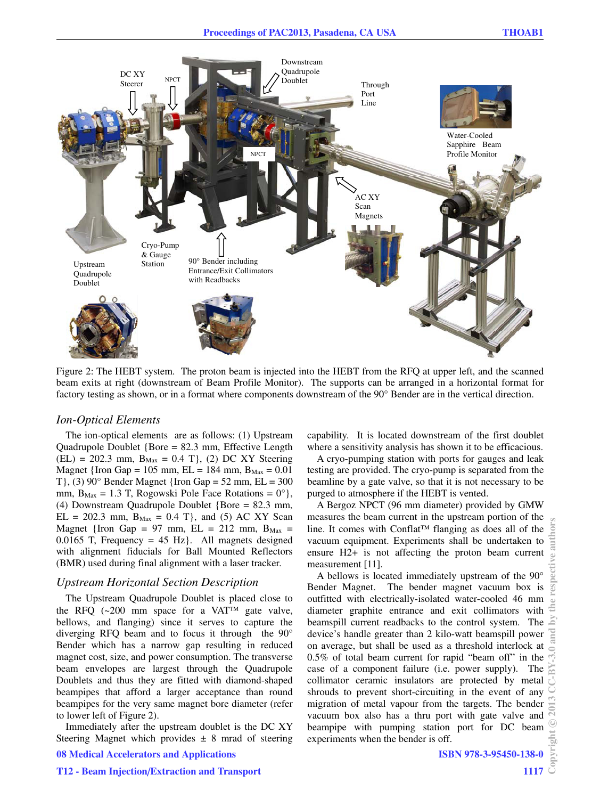

Figure 2: The HEBT system. The proton beam is injected into the HEBT from the RFQ at upper left, and the scanned beam exits at right (downstream of Beam Profile Monitor). The supports can be arranged in a horizontal format for factory testing as shown, or in a format where components downstream of the 90° Bender are in the vertical direction.

#### *Ion-Optical Elements*

The ion-optical elements are as follows: (1) Upstream Quadrupole Doublet {Bore = 82.3 mm, Effective Length  $(EL) = 202.3$  mm,  $B_{Max} = 0.4$  T}, (2) DC XY Steering Magnet {Iron Gap = 105 mm, EL = 184 mm,  $B_{Max} = 0.01$ T $\{$ , (3) 90 $\degree$  Bender Magnet  $\{$  Iron Gap = 52 mm, EL = 300 mm,  $B_{\text{Max}} = 1.3$  T, Rogowski Pole Face Rotations =  $0^{\circ}$ , (4) Downstream Quadrupole Doublet {Bore = 82.3 mm,  $EL = 202.3$  mm,  $B_{Max} = 0.4$  T}, and (5) AC XY Scan Magnet {Iron Gap = 97 mm,  $EL = 212$  mm,  $B_{Max}$  = 0.0165 T, Frequency = 45 Hz. All magnets designed with alignment fiducials for Ball Mounted Reflectors (BMR) used during final alignment with a laser tracker.

## *Upstream Horizontal Section Description*

The Upstream Quadrupole Doublet is placed close to the RFQ  $(-200 \text{ mm}$  space for a VAT<sup>TM</sup> gate valve, bellows, and flanging) since it serves to capture the diverging RFQ beam and to focus it through the 90° Bender which has a narrow gap resulting in reduced magnet cost, size, and power consumption. The transverse beam envelopes are largest through the Quadrupole Doublets and thus they are fitted with diamond-shaped beampipes that afford a larger acceptance than round beampipes for the very same magnet bore diameter (refer to lower left of Figure 2).

Immediately after the upstream doublet is the DC XY Steering Magnet which provides  $\pm$  8 mrad of steering 08 Medical Accelerators and Applications

capability. It is located downstream of the first doublet where a sensitivity analysis has shown it to be efficacious.

A cryo-pumping station with ports for gauges and leak testing are provided. The cryo-pump is separated from the beamline by a gate valve, so that it is not necessary to be purged to atmosphere if the HEBT is vented.

A Bergoz NPCT (96 mm diameter) provided by GMW measures the beam current in the upstream portion of the line. It comes with Conflat<sup> $TM$ </sup> flanging as does all of the vacuum equipment. Experiments shall be undertaken to ensure H2+ is not affecting the proton beam current measurement [11].

A bellows is located immediately upstream of the 90° Bender Magnet. The bender magnet vacuum box is outfitted with electrically-isolated water-cooled 46 mm diameter graphite entrance and exit collimators with beamspill current readbacks to the control system. The device's handle greater than 2 kilo-watt beamspill power on average, but shall be used as a threshold interlock at 0.5% of total beam current for rapid "beam off" in the case of a component failure (i.e. power supply). The collimator ceramic insulators are protected by metal shrouds to prevent short-circuiting in the event of any migration of metal vapour from the targets. The bender vacuum box also has a thru port with gate valve and beampipe with pumping station port for DC beam experiments when the bender is off.

#### ISBN 978-3-95450-138-0